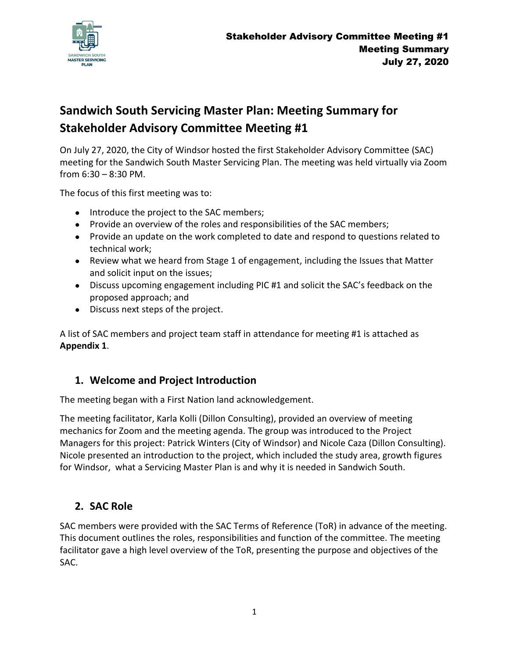

# **Sandwich South Servicing Master Plan: Meeting Summary for Stakeholder Advisory Committee Meeting #1**

On July 27, 2020, the City of Windsor hosted the first Stakeholder Advisory Committee (SAC) meeting for the Sandwich South Master Servicing Plan. The meeting was held virtually via Zoom from 6:30 – 8:30 PM.

The focus of this first meeting was to:

- Introduce the project to the SAC members;
- Provide an overview of the roles and responsibilities of the SAC members;
- Provide an update on the work completed to date and respond to questions related to technical work;
- Review what we heard from Stage 1 of engagement, including the Issues that Matter and solicit input on the issues;
- Discuss upcoming engagement including PIC #1 and solicit the SAC's feedback on the proposed approach; and
- Discuss next steps of the project.

A list of SAC members and project team staff in attendance for meeting #1 is attached as **Appendix 1**.

## **1. Welcome and Project Introduction**

The meeting began with a First Nation land acknowledgement.

The meeting facilitator, Karla Kolli (Dillon Consulting), provided an overview of meeting mechanics for Zoom and the meeting agenda. The group was introduced to the Project Managers for this project: Patrick Winters (City of Windsor) and Nicole Caza (Dillon Consulting). Nicole presented an introduction to the project, which included the study area, growth figures for Windsor, what a Servicing Master Plan is and why it is needed in Sandwich South.

## **2. SAC Role**

SAC members were provided with the SAC Terms of Reference (ToR) in advance of the meeting. This document outlines the roles, responsibilities and function of the committee. The meeting facilitator gave a high level overview of the ToR, presenting the purpose and objectives of the SAC.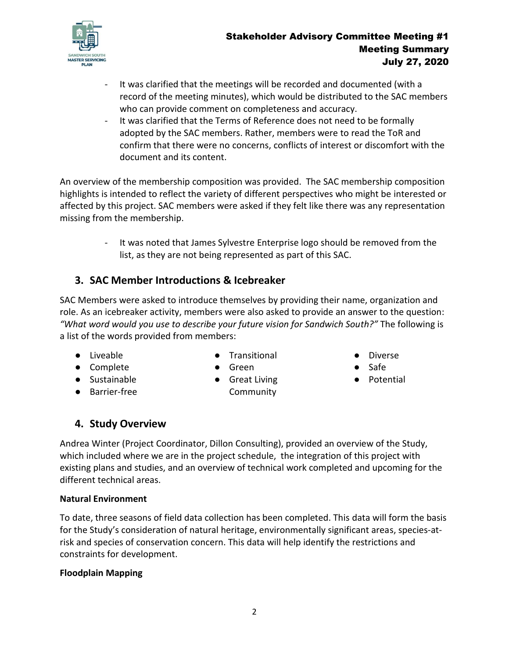

- It was clarified that the meetings will be recorded and documented (with a record of the meeting minutes), which would be distributed to the SAC members who can provide comment on completeness and accuracy.
- It was clarified that the Terms of Reference does not need to be formally adopted by the SAC members. Rather, members were to read the ToR and confirm that there were no concerns, conflicts of interest or discomfort with the document and its content.

An overview of the membership composition was provided. The SAC membership composition highlights is intended to reflect the variety of different perspectives who might be interested or affected by this project. SAC members were asked if they felt like there was any representation missing from the membership.

> - It was noted that James Sylvestre Enterprise logo should be removed from the list, as they are not being represented as part of this SAC.

## **3. SAC Member Introductions & Icebreaker**

SAC Members were asked to introduce themselves by providing their name, organization and role. As an icebreaker activity, members were also asked to provide an answer to the question: *"What word would you use to describe your future vision for Sandwich South?"* The following is a list of the words provided from members:

● Liveable ● Complete

● Sustainable ● Barrier-free

- Transitional
- Green
- Great Living Community
- **Diverse**
- Safe
- Potential

## **4. Study Overview**

Andrea Winter (Project Coordinator, Dillon Consulting), provided an overview of the Study, which included where we are in the project schedule, the integration of this project with existing plans and studies, and an overview of technical work completed and upcoming for the different technical areas.

### **Natural Environment**

To date, three seasons of field data collection has been completed. This data will form the basis for the Study's consideration of natural heritage, environmentally significant areas, species-atrisk and species of conservation concern. This data will help identify the restrictions and constraints for development.

### **Floodplain Mapping**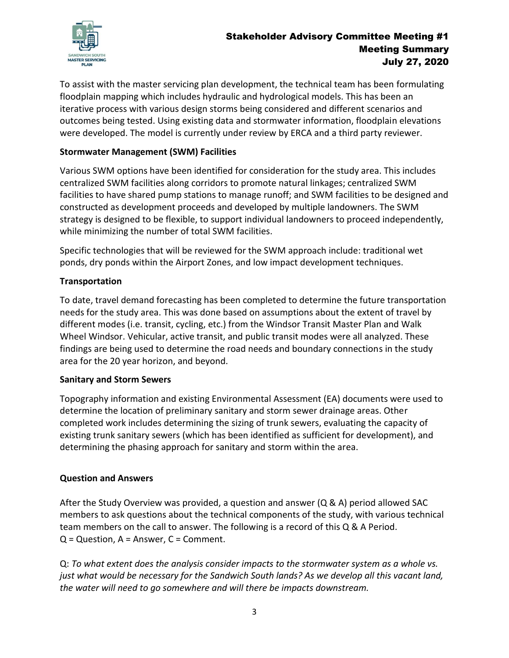

### Stakeholder Advisory Committee Meeting #1 Meeting Summary July 27, 2020

To assist with the master servicing plan development, the technical team has been formulating floodplain mapping which includes hydraulic and hydrological models. This has been an iterative process with various design storms being considered and different scenarios and outcomes being tested. Using existing data and stormwater information, floodplain elevations were developed. The model is currently under review by ERCA and a third party reviewer.

### **Stormwater Management (SWM) Facilities**

Various SWM options have been identified for consideration for the study area. This includes centralized SWM facilities along corridors to promote natural linkages; centralized SWM facilities to have shared pump stations to manage runoff; and SWM facilities to be designed and constructed as development proceeds and developed by multiple landowners. The SWM strategy is designed to be flexible, to support individual landowners to proceed independently, while minimizing the number of total SWM facilities.

Specific technologies that will be reviewed for the SWM approach include: traditional wet ponds, dry ponds within the Airport Zones, and low impact development techniques.

### **Transportation**

To date, travel demand forecasting has been completed to determine the future transportation needs for the study area. This was done based on assumptions about the extent of travel by different modes (i.e. transit, cycling, etc.) from the Windsor Transit Master Plan and Walk Wheel Windsor. Vehicular, active transit, and public transit modes were all analyzed. These findings are being used to determine the road needs and boundary connections in the study area for the 20 year horizon, and beyond.

#### **Sanitary and Storm Sewers**

Topography information and existing Environmental Assessment (EA) documents were used to determine the location of preliminary sanitary and storm sewer drainage areas. Other completed work includes determining the sizing of trunk sewers, evaluating the capacity of existing trunk sanitary sewers (which has been identified as sufficient for development), and determining the phasing approach for sanitary and storm within the area.

#### **Question and Answers**

After the Study Overview was provided, a question and answer (Q & A) period allowed SAC members to ask questions about the technical components of the study, with various technical team members on the call to answer. The following is a record of this Q & A Period.  $Q =$  Question,  $A =$  Answer,  $C =$  Comment.

Q: *To what extent does the analysis consider impacts to the stormwater system as a whole vs. just what would be necessary for the Sandwich South lands? As we develop all this vacant land, the water will need to go somewhere and will there be impacts downstream.*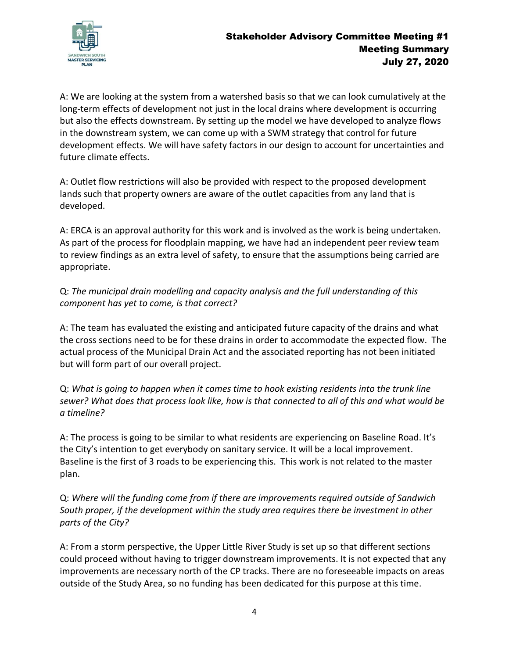

A: We are looking at the system from a watershed basis so that we can look cumulatively at the long-term effects of development not just in the local drains where development is occurring but also the effects downstream. By setting up the model we have developed to analyze flows in the downstream system, we can come up with a SWM strategy that control for future development effects. We will have safety factors in our design to account for uncertainties and future climate effects.

A: Outlet flow restrictions will also be provided with respect to the proposed development lands such that property owners are aware of the outlet capacities from any land that is developed.

A: ERCA is an approval authority for this work and is involved as the work is being undertaken. As part of the process for floodplain mapping, we have had an independent peer review team to review findings as an extra level of safety, to ensure that the assumptions being carried are appropriate.

Q: *The municipal drain modelling and capacity analysis and the full understanding of this component has yet to come, is that correct?* 

A: The team has evaluated the existing and anticipated future capacity of the drains and what the cross sections need to be for these drains in order to accommodate the expected flow. The actual process of the Municipal Drain Act and the associated reporting has not been initiated but will form part of our overall project.

Q: *What is going to happen when it comes time to hook existing residents into the trunk line sewer? What does that process look like, how is that connected to all of this and what would be a timeline?* 

A: The process is going to be similar to what residents are experiencing on Baseline Road. It's the City's intention to get everybody on sanitary service. It will be a local improvement. Baseline is the first of 3 roads to be experiencing this. This work is not related to the master plan.

Q: *Where will the funding come from if there are improvements required outside of Sandwich South proper, if the development within the study area requires there be investment in other parts of the City?*

A: From a storm perspective, the Upper Little River Study is set up so that different sections could proceed without having to trigger downstream improvements. It is not expected that any improvements are necessary north of the CP tracks. There are no foreseeable impacts on areas outside of the Study Area, so no funding has been dedicated for this purpose at this time.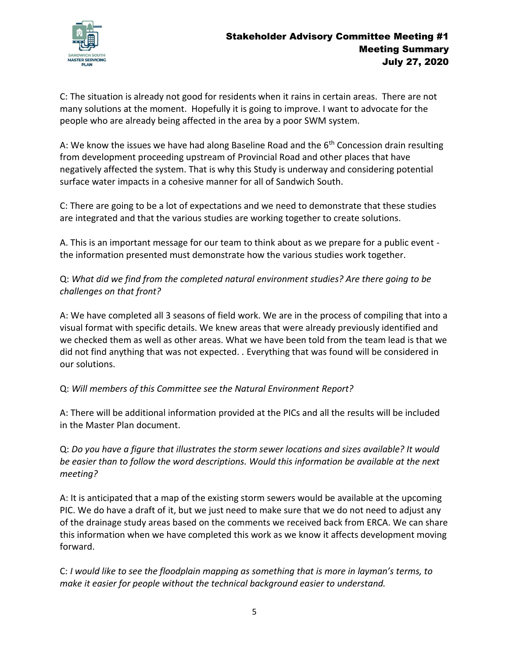

C: The situation is already not good for residents when it rains in certain areas. There are not many solutions at the moment. Hopefully it is going to improve. I want to advocate for the people who are already being affected in the area by a poor SWM system.

A: We know the issues we have had along Baseline Road and the  $6<sup>th</sup>$  Concession drain resulting from development proceeding upstream of Provincial Road and other places that have negatively affected the system. That is why this Study is underway and considering potential surface water impacts in a cohesive manner for all of Sandwich South.

C: There are going to be a lot of expectations and we need to demonstrate that these studies are integrated and that the various studies are working together to create solutions.

A. This is an important message for our team to think about as we prepare for a public event the information presented must demonstrate how the various studies work together.

Q: *What did we find from the completed natural environment studies? Are there going to be challenges on that front?*

A: We have completed all 3 seasons of field work. We are in the process of compiling that into a visual format with specific details. We knew areas that were already previously identified and we checked them as well as other areas. What we have been told from the team lead is that we did not find anything that was not expected. . Everything that was found will be considered in our solutions.

### Q: *Will members of this Committee see the Natural Environment Report?*

A: There will be additional information provided at the PICs and all the results will be included in the Master Plan document.

Q: *Do you have a figure that illustrates the storm sewer locations and sizes available? It would be easier than to follow the word descriptions. Would this information be available at the next meeting?*

A: It is anticipated that a map of the existing storm sewers would be available at the upcoming PIC. We do have a draft of it, but we just need to make sure that we do not need to adjust any of the drainage study areas based on the comments we received back from ERCA. We can share this information when we have completed this work as we know it affects development moving forward.

C: *I would like to see the floodplain mapping as something that is more in layman's terms, to make it easier for people without the technical background easier to understand.*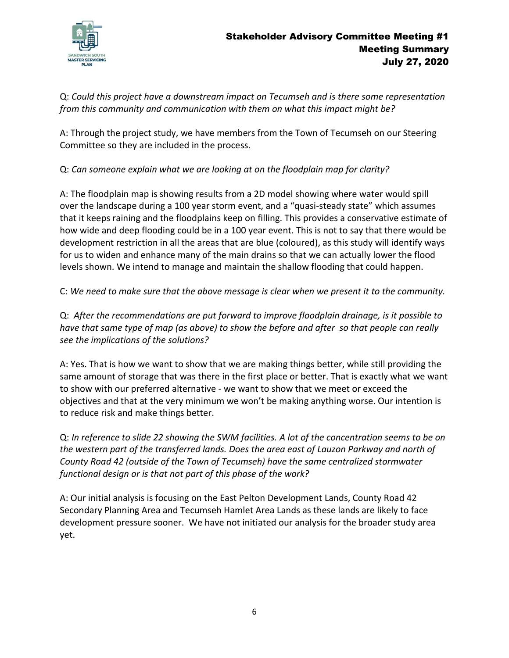

Q: *Could this project have a downstream impact on Tecumseh and is there some representation from this community and communication with them on what this impact might be?*

A: Through the project study, we have members from the Town of Tecumseh on our Steering Committee so they are included in the process.

Q: *Can someone explain what we are looking at on the floodplain map for clarity?*

A: The floodplain map is showing results from a 2D model showing where water would spill over the landscape during a 100 year storm event, and a "quasi-steady state" which assumes that it keeps raining and the floodplains keep on filling. This provides a conservative estimate of how wide and deep flooding could be in a 100 year event. This is not to say that there would be development restriction in all the areas that are blue (coloured), as this study will identify ways for us to widen and enhance many of the main drains so that we can actually lower the flood levels shown. We intend to manage and maintain the shallow flooding that could happen.

C: *We need to make sure that the above message is clear when we present it to the community.*

Q: *After the recommendations are put forward to improve floodplain drainage, is it possible to have that same type of map (as above) to show the before and after so that people can really see the implications of the solutions?*

A: Yes. That is how we want to show that we are making things better, while still providing the same amount of storage that was there in the first place or better. That is exactly what we want to show with our preferred alternative - we want to show that we meet or exceed the objectives and that at the very minimum we won't be making anything worse. Our intention is to reduce risk and make things better.

Q: *In reference to slide 22 showing the SWM facilities. A lot of the concentration seems to be on the western part of the transferred lands. Does the area east of Lauzon Parkway and north of County Road 42 (outside of the Town of Tecumseh) have the same centralized stormwater functional design or is that not part of this phase of the work?*

A: Our initial analysis is focusing on the East Pelton Development Lands, County Road 42 Secondary Planning Area and Tecumseh Hamlet Area Lands as these lands are likely to face development pressure sooner. We have not initiated our analysis for the broader study area yet.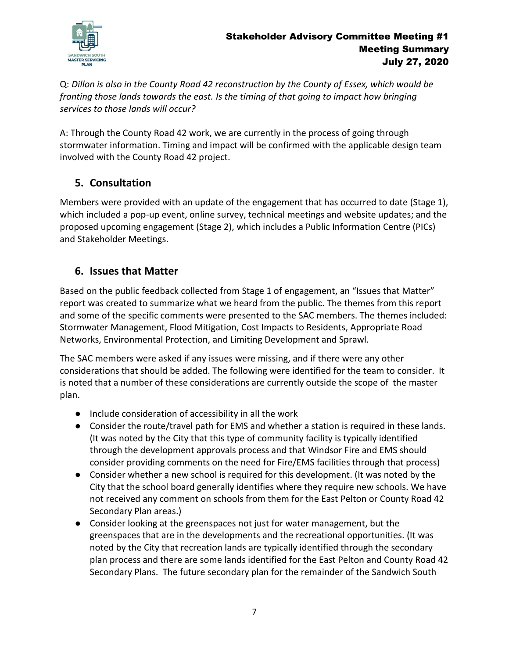

Q: *Dillon is also in the County Road 42 reconstruction by the County of Essex, which would be fronting those lands towards the east. Is the timing of that going to impact how bringing services to those lands will occur?*

A: Through the County Road 42 work, we are currently in the process of going through stormwater information. Timing and impact will be confirmed with the applicable design team involved with the County Road 42 project.

## **5. Consultation**

Members were provided with an update of the engagement that has occurred to date (Stage 1), which included a pop-up event, online survey, technical meetings and website updates; and the proposed upcoming engagement (Stage 2), which includes a Public Information Centre (PICs) and Stakeholder Meetings.

## **6. Issues that Matter**

Based on the public feedback collected from Stage 1 of engagement, an "Issues that Matter" report was created to summarize what we heard from the public. The themes from this report and some of the specific comments were presented to the SAC members. The themes included: Stormwater Management, Flood Mitigation, Cost Impacts to Residents, Appropriate Road Networks, Environmental Protection, and Limiting Development and Sprawl.

The SAC members were asked if any issues were missing, and if there were any other considerations that should be added. The following were identified for the team to consider. It is noted that a number of these considerations are currently outside the scope of the master plan.

- Include consideration of accessibility in all the work
- Consider the route/travel path for EMS and whether a station is required in these lands. (It was noted by the City that this type of community facility is typically identified through the development approvals process and that Windsor Fire and EMS should consider providing comments on the need for Fire/EMS facilities through that process)
- Consider whether a new school is required for this development. (It was noted by the City that the school board generally identifies where they require new schools. We have not received any comment on schools from them for the East Pelton or County Road 42 Secondary Plan areas.)
- Consider looking at the greenspaces not just for water management, but the greenspaces that are in the developments and the recreational opportunities. (It was noted by the City that recreation lands are typically identified through the secondary plan process and there are some lands identified for the East Pelton and County Road 42 Secondary Plans. The future secondary plan for the remainder of the Sandwich South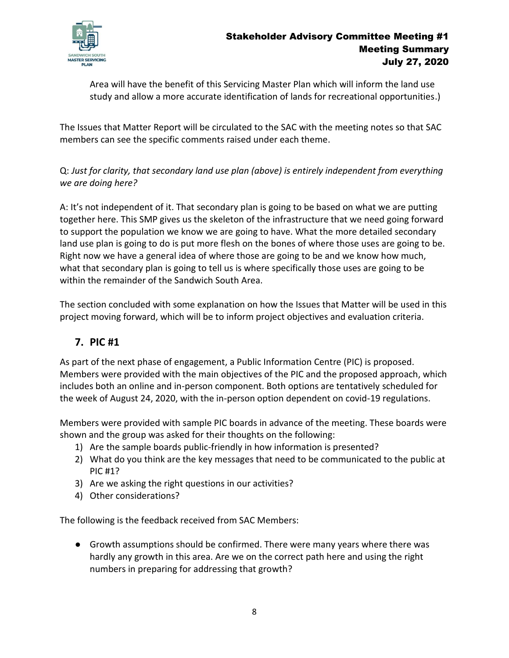

Area will have the benefit of this Servicing Master Plan which will inform the land use study and allow a more accurate identification of lands for recreational opportunities.)

The Issues that Matter Report will be circulated to the SAC with the meeting notes so that SAC members can see the specific comments raised under each theme.

Q: *Just for clarity, that secondary land use plan (above) is entirely independent from everything we are doing here?*

A: It's not independent of it. That secondary plan is going to be based on what we are putting together here. This SMP gives us the skeleton of the infrastructure that we need going forward to support the population we know we are going to have. What the more detailed secondary land use plan is going to do is put more flesh on the bones of where those uses are going to be. Right now we have a general idea of where those are going to be and we know how much, what that secondary plan is going to tell us is where specifically those uses are going to be within the remainder of the Sandwich South Area.

The section concluded with some explanation on how the Issues that Matter will be used in this project moving forward, which will be to inform project objectives and evaluation criteria.

## **7. PIC #1**

As part of the next phase of engagement, a Public Information Centre (PIC) is proposed. Members were provided with the main objectives of the PIC and the proposed approach, which includes both an online and in-person component. Both options are tentatively scheduled for the week of August 24, 2020, with the in-person option dependent on covid-19 regulations.

Members were provided with sample PIC boards in advance of the meeting. These boards were shown and the group was asked for their thoughts on the following:

- 1) Are the sample boards public-friendly in how information is presented?
- 2) What do you think are the key messages that need to be communicated to the public at PIC #1?
- 3) Are we asking the right questions in our activities?
- 4) Other considerations?

The following is the feedback received from SAC Members:

● Growth assumptions should be confirmed. There were many years where there was hardly any growth in this area. Are we on the correct path here and using the right numbers in preparing for addressing that growth?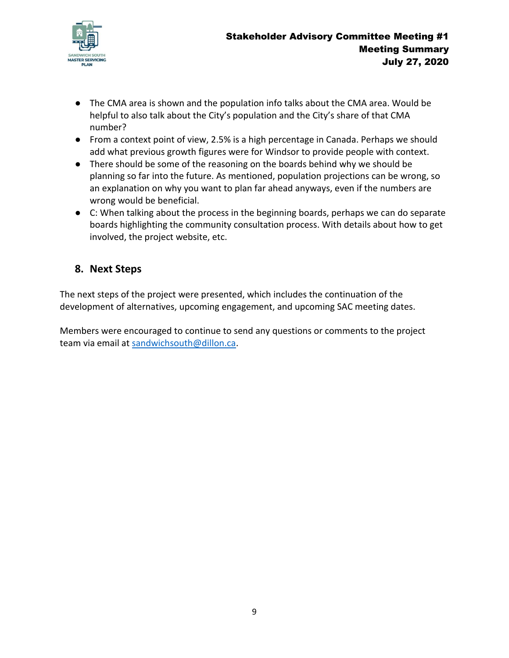

- The CMA area is shown and the population info talks about the CMA area. Would be helpful to also talk about the City's population and the City's share of that CMA number?
- From a context point of view, 2.5% is a high percentage in Canada. Perhaps we should add what previous growth figures were for Windsor to provide people with context.
- There should be some of the reasoning on the boards behind why we should be planning so far into the future. As mentioned, population projections can be wrong, so an explanation on why you want to plan far ahead anyways, even if the numbers are wrong would be beneficial.
- C: When talking about the process in the beginning boards, perhaps we can do separate boards highlighting the community consultation process. With details about how to get involved, the project website, etc.

## **8. Next Steps**

The next steps of the project were presented, which includes the continuation of the development of alternatives, upcoming engagement, and upcoming SAC meeting dates.

Members were encouraged to continue to send any questions or comments to the project team via email at [sandwichsouth@dillon.ca.](mailto:sandwichsouth@dillon.ca)